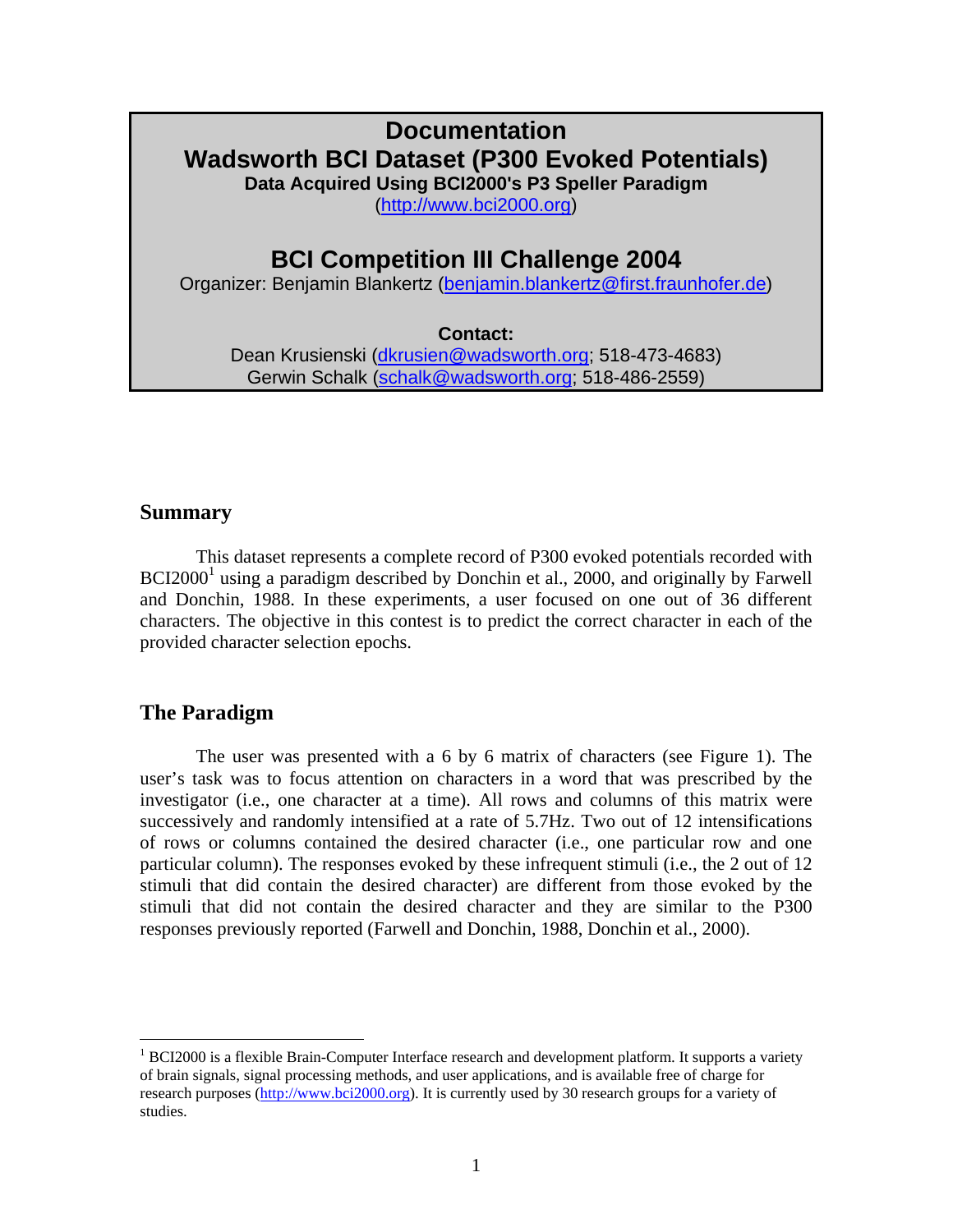# **Documentation Wadsworth BCI Dataset (P300 Evoked Potentials) Data Acquired Using BCI2000's P3 Speller Paradigm**

([http://www.bci2000.org](http://www.bci2000.org/))

# **BCI Competition III Challenge 2004**

Organizer: Benjamin Blankertz [\(benjamin.blankertz@first.fraunhofer.de](mailto:benjamin.blankertz@first.fraunhofer.de))

#### **Contact:**

Dean Krusienski ([dkrusien@wadsworth.org](mailto:dkrusien@wadsworth.org); 518-473-4683) Gerwin Schalk [\(schalk@wadsworth.org;](mailto:schalk@wadsworth.org) 518-486-2559)

## **Summary**

This dataset represents a complete record of P300 evoked potentials recorded with BCI2000<sup>[1](#page-0-0)</sup> using a paradigm described by Donchin et al., 2000, and originally by Farwell and Donchin, 1988. In these experiments, a user focused on one out of 36 different characters. The objective in this contest is to predict the correct character in each of the provided character selection epochs.

# **The Paradigm**

 $\overline{a}$ 

The user was presented with a 6 by 6 matrix of characters (see Figure 1). The user's task was to focus attention on characters in a word that was prescribed by the investigator (i.e., one character at a time). All rows and columns of this matrix were successively and randomly intensified at a rate of 5.7Hz. Two out of 12 intensifications of rows or columns contained the desired character (i.e., one particular row and one particular column). The responses evoked by these infrequent stimuli (i.e., the 2 out of 12 stimuli that did contain the desired character) are different from those evoked by the stimuli that did not contain the desired character and they are similar to the P300 responses previously reported (Farwell and Donchin, 1988, Donchin et al., 2000).

<span id="page-0-0"></span> $1$  BCI2000 is a flexible Brain-Computer Interface research and development platform. It supports a variety of brain signals, signal processing methods, and user applications, and is available free of charge for research purposes [\(http://www.bci2000.org](http://www.bci2000.org/)). It is currently used by 30 research groups for a variety of studies.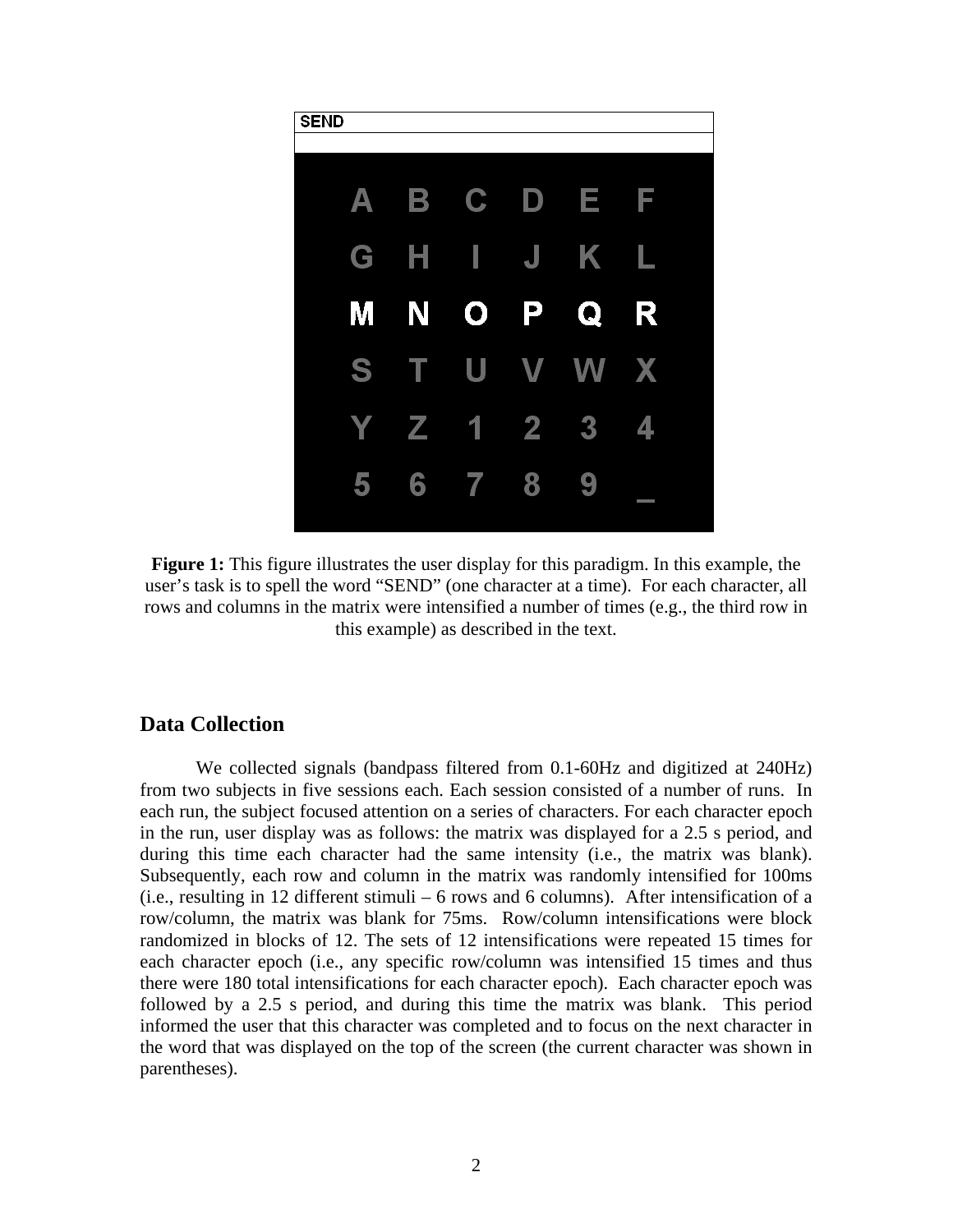

**Figure 1:** This figure illustrates the user display for this paradigm. In this example, the user's task is to spell the word "SEND" (one character at a time). For each character, all rows and columns in the matrix were intensified a number of times (e.g., the third row in this example) as described in the text.

#### **Data Collection**

We collected signals (bandpass filtered from 0.1-60Hz and digitized at 240Hz) from two subjects in five sessions each. Each session consisted of a number of runs. In each run, the subject focused attention on a series of characters. For each character epoch in the run, user display was as follows: the matrix was displayed for a 2.5 s period, and during this time each character had the same intensity (i.e., the matrix was blank). Subsequently, each row and column in the matrix was randomly intensified for 100ms (i.e., resulting in 12 different stimuli – 6 rows and 6 columns). After intensification of a row/column, the matrix was blank for 75ms. Row/column intensifications were block randomized in blocks of 12. The sets of 12 intensifications were repeated 15 times for each character epoch (i.e., any specific row/column was intensified 15 times and thus there were 180 total intensifications for each character epoch). Each character epoch was followed by a 2.5 s period, and during this time the matrix was blank. This period informed the user that this character was completed and to focus on the next character in the word that was displayed on the top of the screen (the current character was shown in parentheses).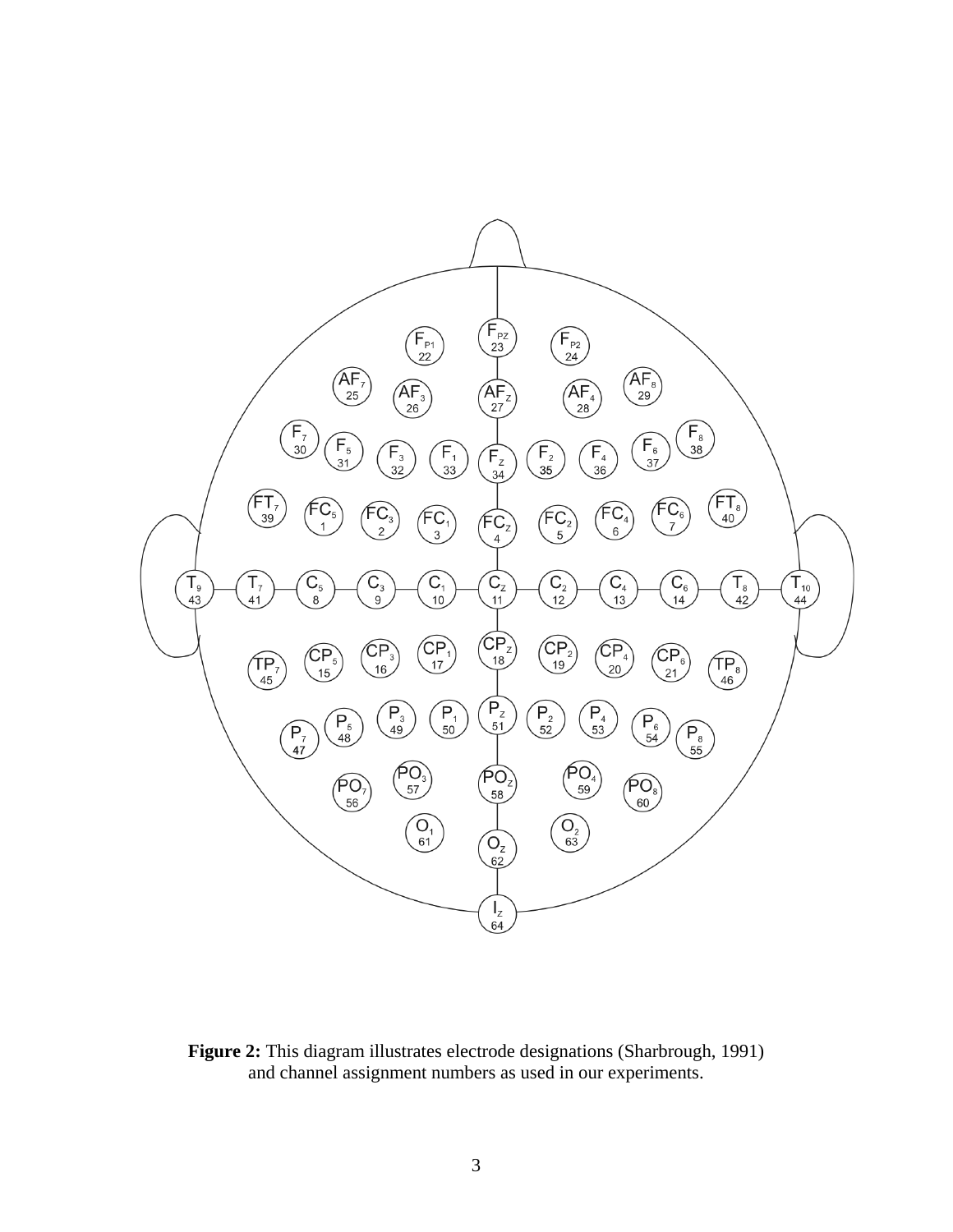

**Figure 2:** This diagram illustrates electrode designations (Sharbrough, 1991) and channel assignment numbers as used in our experiments.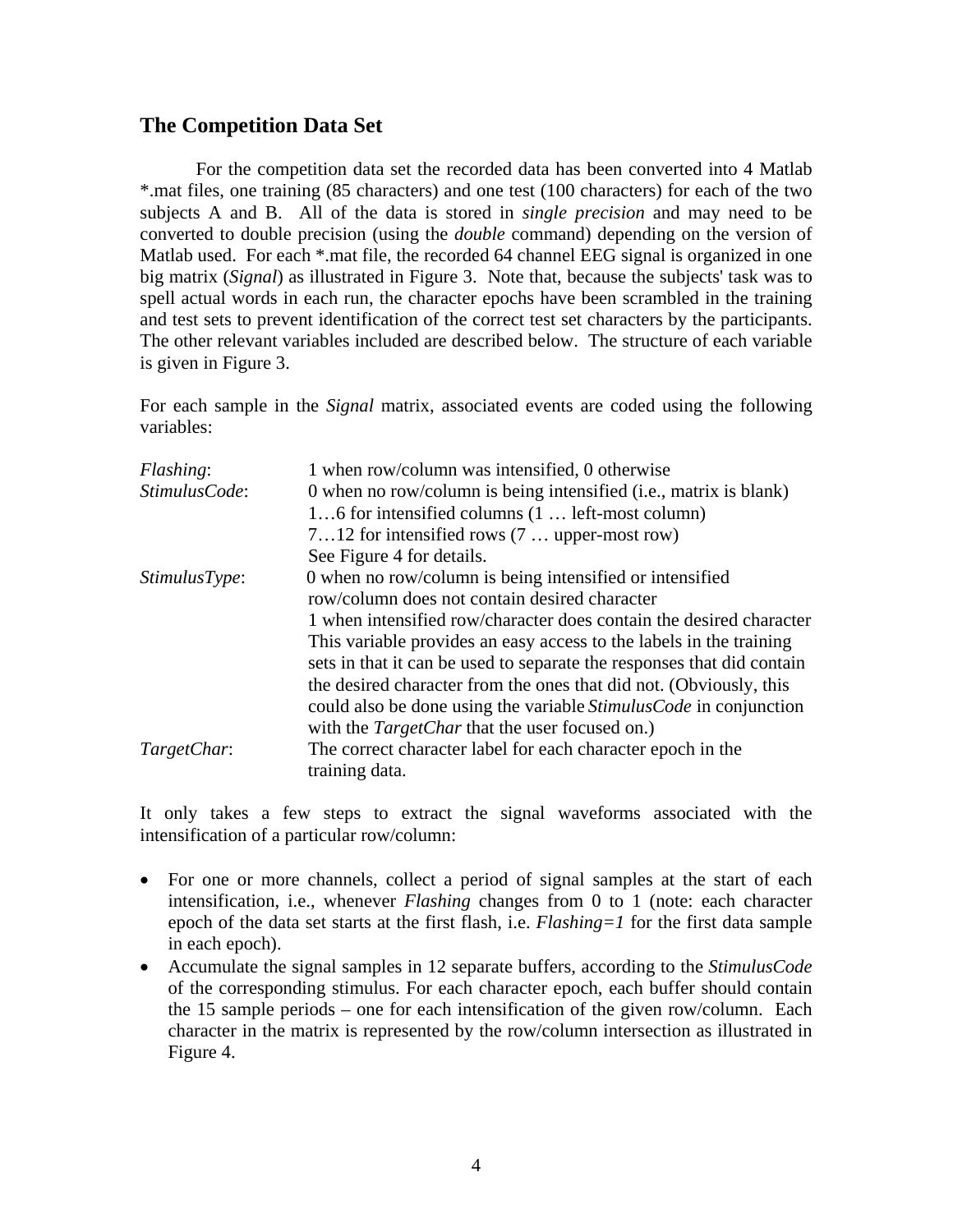## **The Competition Data Set**

For the competition data set the recorded data has been converted into 4 Matlab \*.mat files, one training (85 characters) and one test (100 characters) for each of the two subjects A and B. All of the data is stored in *single precision* and may need to be converted to double precision (using the *double* command) depending on the version of Matlab used. For each \*.mat file, the recorded 64 channel EEG signal is organized in one big matrix (*Signal*) as illustrated in Figure 3. Note that, because the subjects' task was to spell actual words in each run, the character epochs have been scrambled in the training and test sets to prevent identification of the correct test set characters by the participants. The other relevant variables included are described below. The structure of each variable is given in Figure 3.

For each sample in the *Signal* matrix, associated events are coded using the following variables:

| Flashing:     | 1 when row/column was intensified, 0 otherwise                            |  |  |
|---------------|---------------------------------------------------------------------------|--|--|
| StimulusCode: | 0 when no row/column is being intensified (i.e., matrix is blank)         |  |  |
|               | 16 for intensified columns (1  left-most column)                          |  |  |
|               | $712$ for intensified rows $(7$ upper-most row)                           |  |  |
|               | See Figure 4 for details.                                                 |  |  |
| StimulusType: | 0 when no row/column is being intensified or intensified                  |  |  |
|               | row/column does not contain desired character                             |  |  |
|               | 1 when intensified row/character does contain the desired character       |  |  |
|               | This variable provides an easy access to the labels in the training       |  |  |
|               | sets in that it can be used to separate the responses that did contain    |  |  |
|               | the desired character from the ones that did not. (Obviously, this        |  |  |
|               | could also be done using the variable <i>Stimulus Code</i> in conjunction |  |  |
|               | with the <i>TargetChar</i> that the user focused on.)                     |  |  |
| TargetChar:   | The correct character label for each character epoch in the               |  |  |
|               | training data.                                                            |  |  |

It only takes a few steps to extract the signal waveforms associated with the intensification of a particular row/column:

- For one or more channels, collect a period of signal samples at the start of each intensification, i.e., whenever *Flashing* changes from 0 to 1 (note: each character epoch of the data set starts at the first flash, i.e. *Flashing=1* for the first data sample in each epoch).
- Accumulate the signal samples in 12 separate buffers, according to the *StimulusCode* of the corresponding stimulus. For each character epoch, each buffer should contain the 15 sample periods – one for each intensification of the given row/column. Each character in the matrix is represented by the row/column intersection as illustrated in Figure 4.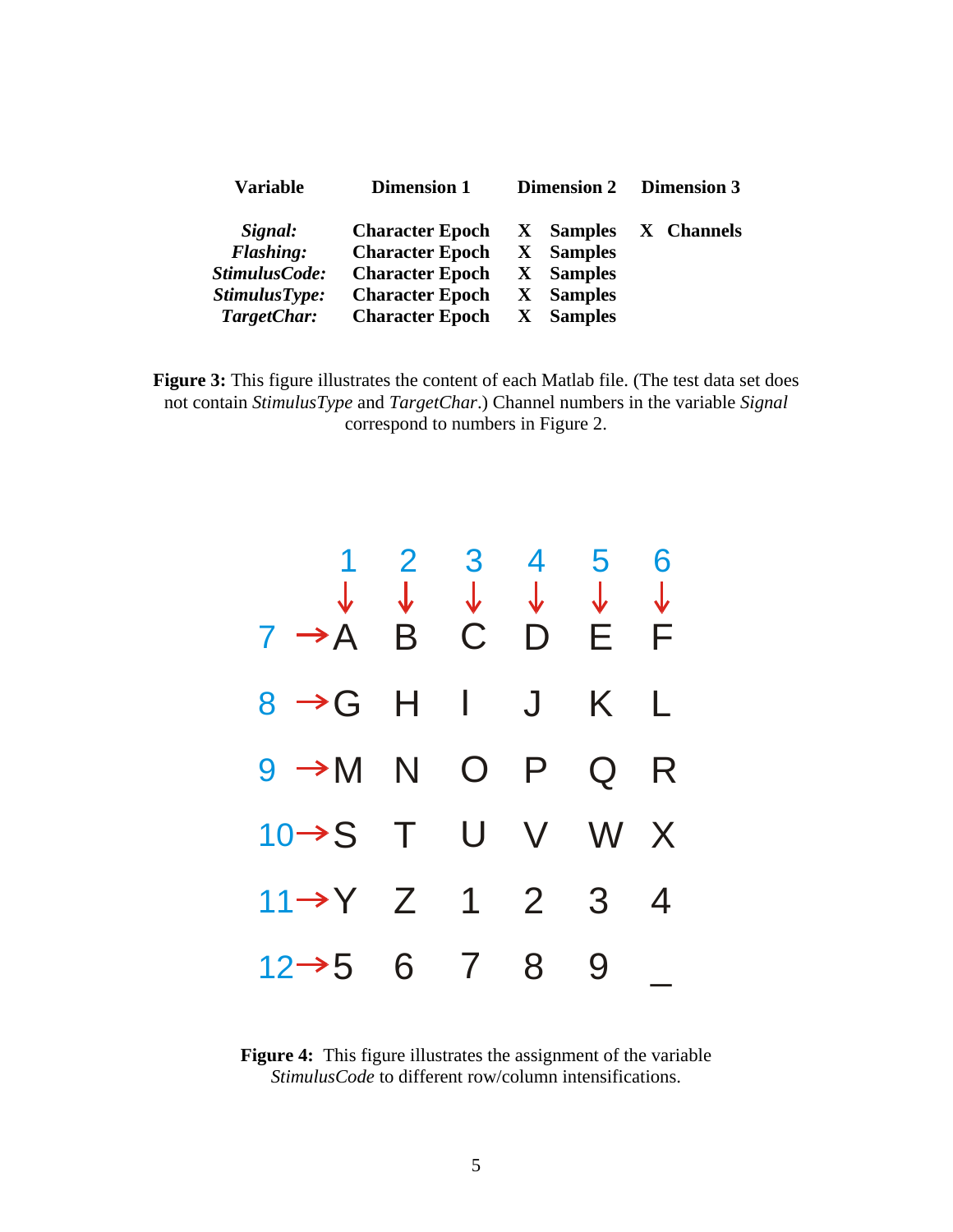| <b>Variable</b>  | <b>Dimension 1</b>     | <b>Dimension 2</b>             | <b>Dimension 3</b> |
|------------------|------------------------|--------------------------------|--------------------|
| Signal:          | <b>Character Epoch</b> | <b>Samples</b><br>$\mathbf{X}$ | X Channels         |
| <b>Flashing:</b> | <b>Character Epoch</b> | <b>Samples</b><br>X            |                    |
| StimulusCode:    | <b>Character Epoch</b> | <b>Samples</b><br>X            |                    |
| StimulusType:    | <b>Character Epoch</b> | <b>Samples</b><br>$\mathbf{X}$ |                    |
| TargetChar:      | <b>Character Epoch</b> | <b>Samples</b>                 |                    |

**Figure 3:** This figure illustrates the content of each Matlab file. (The test data set does not contain *StimulusType* and *TargetChar*.) Channel numbers in the variable *Signal* correspond to numbers in Figure 2.



**Figure 4:** This figure illustrates the assignment of the variable *StimulusCode* to different row/column intensifications.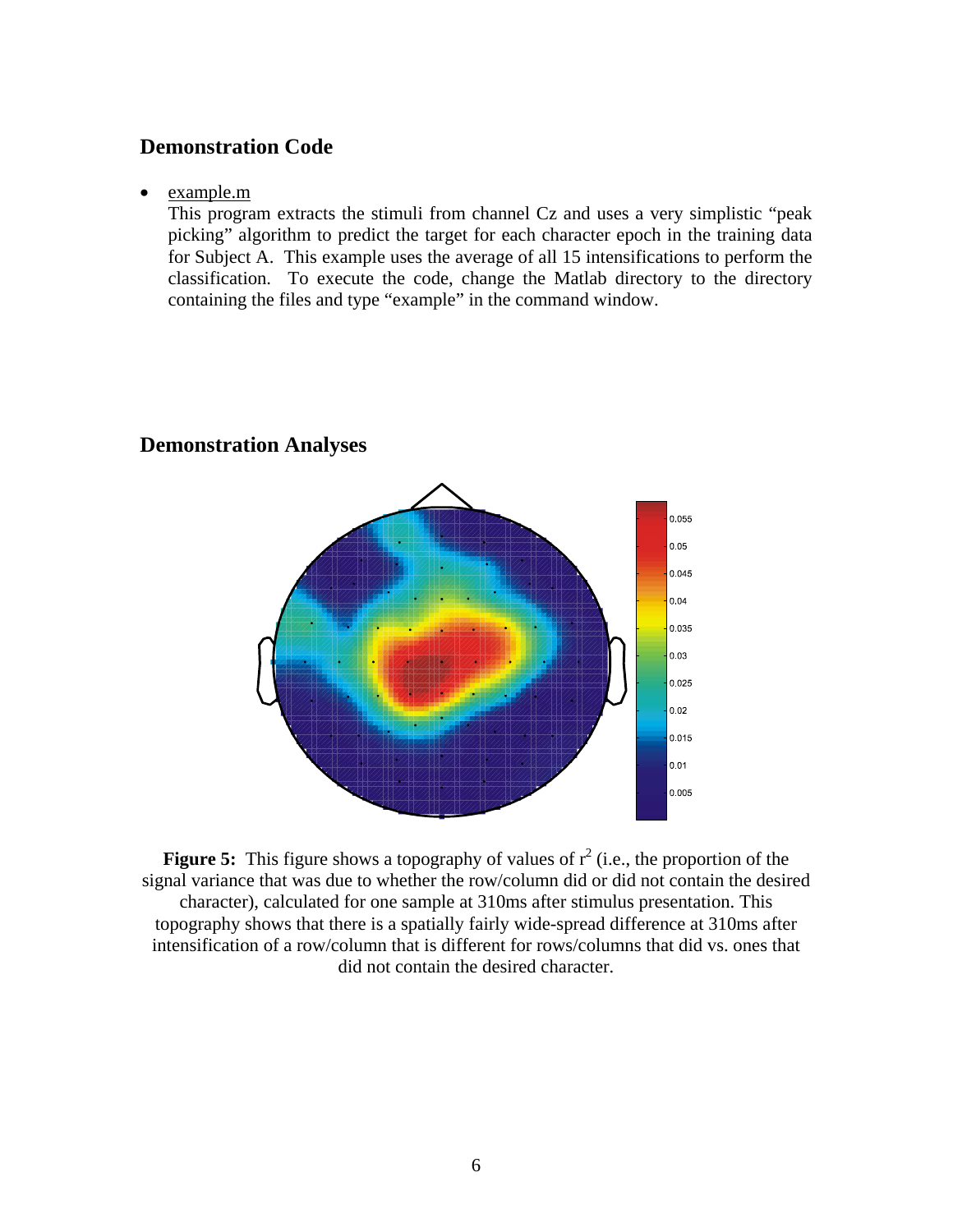## **Demonstration Code**

#### • example.m

This program extracts the stimuli from channel Cz and uses a very simplistic "peak picking" algorithm to predict the target for each character epoch in the training data for Subject A. This example uses the average of all 15 intensifications to perform the classification. To execute the code, change the Matlab directory to the directory containing the files and type "example" in the command window.



#### **Demonstration Analyses**

**Figure 5:** This figure shows a topography of values of  $r^2$  (i.e., the proportion of the signal variance that was due to whether the row/column did or did not contain the desired character), calculated for one sample at 310ms after stimulus presentation. This topography shows that there is a spatially fairly wide-spread difference at 310ms after intensification of a row/column that is different for rows/columns that did vs. ones that did not contain the desired character.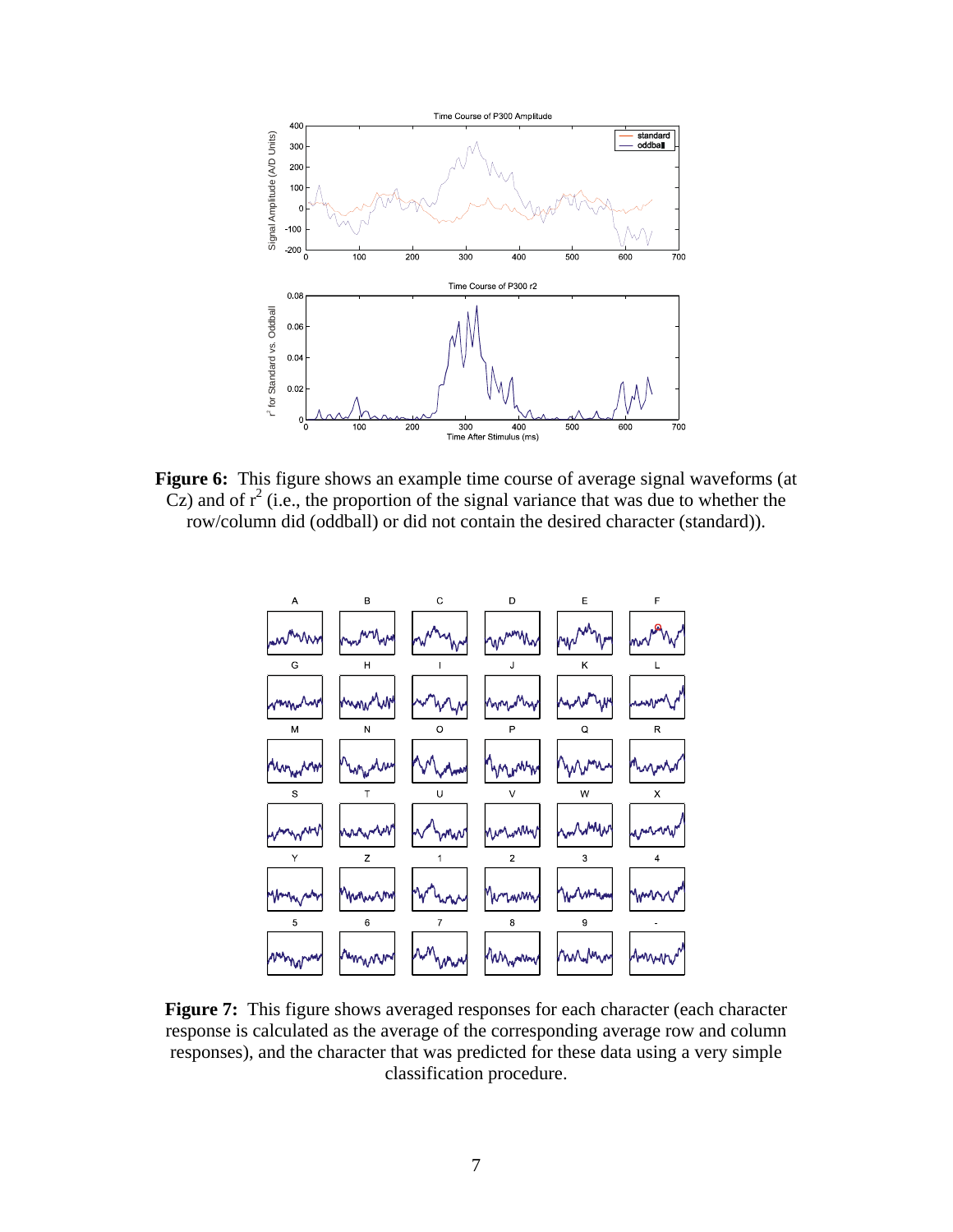

**Figure 6:** This figure shows an example time course of average signal waveforms (at  $C$ z) and of  $r^2$  (i.e., the proportion of the signal variance that was due to whether the row/column did (oddball) or did not contain the desired character (standard)).



**Figure 7:** This figure shows averaged responses for each character (each character response is calculated as the average of the corresponding average row and column responses), and the character that was predicted for these data using a very simple classification procedure.